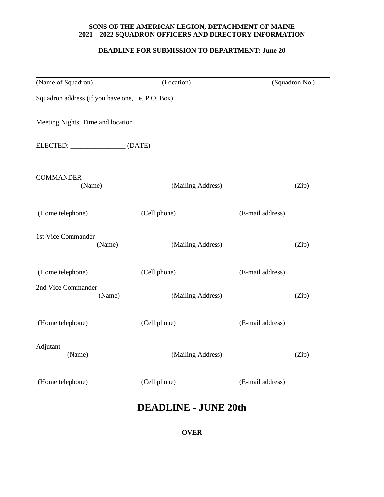## **SONS OF THE AMERICAN LEGION, DETACHMENT OF MAINE 2021 – 2022 SQUADRON OFFICERS AND DIRECTORY INFORMATION**

## **DEADLINE FOR SUBMISSION TO DEPARTMENT: June 20**

| (Squadron No.)   | (Location)                                                                        | (Name of Squadron)           |
|------------------|-----------------------------------------------------------------------------------|------------------------------|
|                  | Squadron address (if you have one, i.e. P.O. Box) _______________________________ |                              |
|                  |                                                                                   |                              |
|                  |                                                                                   | ELECTED: (DATE)              |
|                  |                                                                                   |                              |
| (Zip)            | (Mailing Address)                                                                 | (Name)                       |
| (E-mail address) | (Cell phone)                                                                      | (Home telephone)             |
| (Zip)            | (Mailing Address)                                                                 | 1st Vice Commander<br>(Name) |
| (E-mail address) | (Cell phone)                                                                      | (Home telephone)             |
|                  |                                                                                   | 2nd Vice Commander           |
| (Zip)            | (Mailing Address)                                                                 | (Name)                       |
| (E-mail address) | (Cell phone)                                                                      | (Home telephone)             |
|                  |                                                                                   | Adjutant                     |
| (Zip)            | (Mailing Address)                                                                 | (Name)                       |
| (E-mail address) | (Cell phone)                                                                      | (Home telephone)             |
|                  | <b>DEADLINE - JUNE 20th</b>                                                       |                              |

**- OVER -**